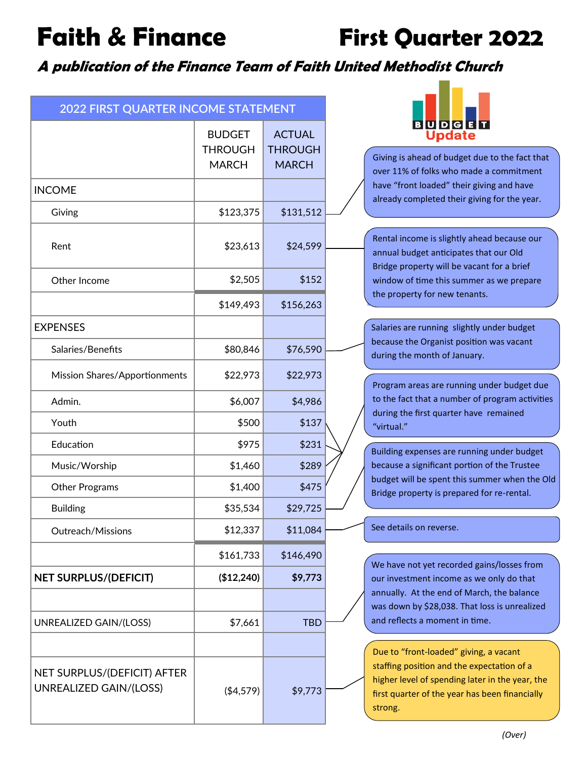**Faith & Finance First Quarter 2022**

**A publication of the Finance Team of Faith United Methodist Church**

| 2022 FIRST QUARTER INCOME STATEMENT                   |                                                 |                                                 |
|-------------------------------------------------------|-------------------------------------------------|-------------------------------------------------|
|                                                       | <b>BUDGET</b><br><b>THROUGH</b><br><b>MARCH</b> | <b>ACTUAL</b><br><b>THROUGH</b><br><b>MARCH</b> |
| <b>INCOME</b>                                         |                                                 |                                                 |
| Giving                                                | \$123,375                                       | \$131,512                                       |
| Rent                                                  | \$23,613                                        | \$24,599                                        |
| Other Income                                          | \$2,505                                         | \$152                                           |
|                                                       | \$149,493                                       | \$156,263                                       |
| <b>EXPENSES</b>                                       |                                                 |                                                 |
| Salaries/Benefits                                     | \$80,846                                        | \$76,590                                        |
| Mission Shares/Apportionments                         | \$22,973                                        | \$22,973                                        |
| Admin.                                                | \$6,007                                         | \$4,986                                         |
| Youth                                                 | \$500                                           | \$137                                           |
| Education                                             | \$975                                           | \$231                                           |
| Music/Worship                                         | \$1,460                                         | \$289                                           |
| <b>Other Programs</b>                                 | \$1,400                                         | \$475                                           |
| <b>Building</b>                                       | \$35,534                                        | \$29,725                                        |
| Outreach/Missions                                     | \$12,337                                        | \$11,084                                        |
|                                                       | \$161,733                                       | \$146,490                                       |
| <b>NET SURPLUS/(DEFICIT)</b>                          | (\$12,240)                                      | \$9,773                                         |
|                                                       |                                                 |                                                 |
| UNREALIZED GAIN/(LOSS)                                | \$7,661                                         | <b>TBD</b>                                      |
|                                                       |                                                 |                                                 |
| NET SURPLUS/(DEFICIT) AFTER<br>UNREALIZED GAIN/(LOSS) | ( \$4,579)                                      | \$9,773                                         |



ng is ahead of budget due to the fact that r 11% of folks who made a commitment e "front loaded" their giving and have ady completed their giving for the year.

Rental income is slightly ahead because our Rental income is slightly ahead because our annual budget anticipates that our Old annual budget anticipates that our Old Bridge property will be vacant for a brief Bridge property will be vacant for a brief window of time this summer as we prepare window of time this summer as we prepare the property for new tenants. the property for new tenants.

ries are running slightly under budget ause the Organist position was vacant ng the month of January.

gram areas are running under budget due he fact that a number of program activities ing the first quarter have remained tual."

ding expenses are running under budget ause a significant portion of the Trustee get will be spent this summer when the Old ge property is prepared for re-rental.

details on reverse.

have not yet recorded gains/losses from investment income as we only do that ally. At the end of March, the balance down by \$28,038. That loss is unrealized reflects a moment in time.

to "front-loaded" giving, a vacant fing position and the expectation of a er level of spending later in the year, the quarter of the year has been financially ng.